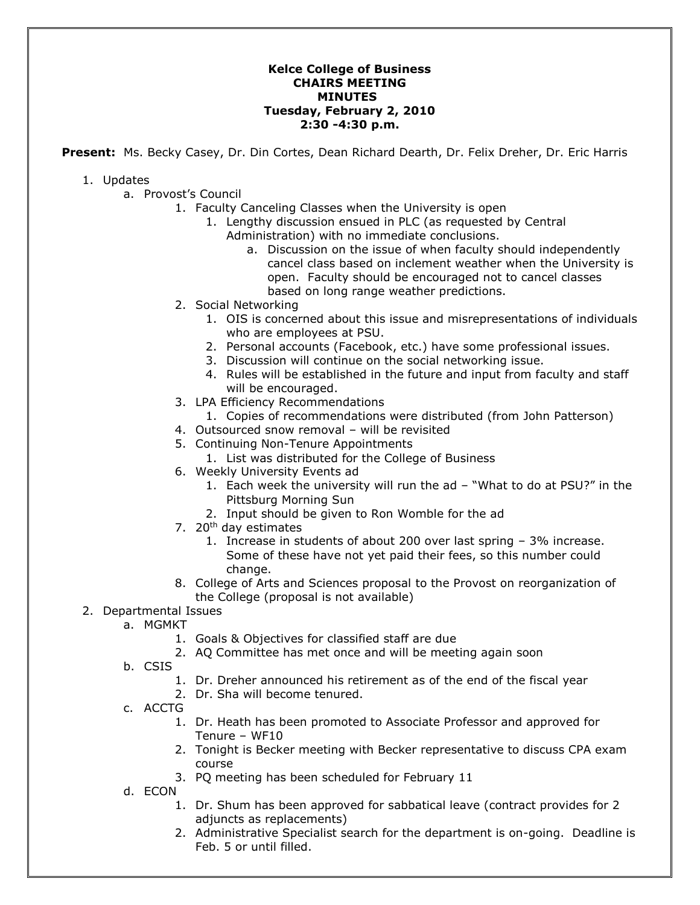## **Kelce College of Business CHAIRS MEETING MINUTES Tuesday, February 2, 2010 2:30 -4:30 p.m.**

**Present:** Ms. Becky Casey, Dr. Din Cortes, Dean Richard Dearth, Dr. Felix Dreher, Dr. Eric Harris

## 1. Updates

- a. Provost's Council
	- 1. Faculty Canceling Classes when the University is open
		- 1. Lengthy discussion ensued in PLC (as requested by Central Administration) with no immediate conclusions.
			- a. Discussion on the issue of when faculty should independently cancel class based on inclement weather when the University is open. Faculty should be encouraged not to cancel classes based on long range weather predictions.
	- 2. Social Networking
		- 1. OIS is concerned about this issue and misrepresentations of individuals who are employees at PSU.
		- 2. Personal accounts (Facebook, etc.) have some professional issues.
		- 3. Discussion will continue on the social networking issue.
		- 4. Rules will be established in the future and input from faculty and staff will be encouraged.
	- 3. LPA Efficiency Recommendations
		- 1. Copies of recommendations were distributed (from John Patterson)
	- 4. Outsourced snow removal will be revisited
	- 5. Continuing Non-Tenure Appointments
		- 1. List was distributed for the College of Business
	- 6. Weekly University Events ad
		- 1. Each week the university will run the ad "What to do at PSU?" in the Pittsburg Morning Sun
		- 2. Input should be given to Ron Womble for the ad
	- 7.  $20<sup>th</sup>$  day estimates
		- 1. Increase in students of about 200 over last spring 3% increase. Some of these have not yet paid their fees, so this number could change.
	- 8. College of Arts and Sciences proposal to the Provost on reorganization of the College (proposal is not available)

## 2. Departmental Issues

- a. MGMKT
	- 1. Goals & Objectives for classified staff are due
	- 2. AQ Committee has met once and will be meeting again soon
- b. CSIS
	- 1. Dr. Dreher announced his retirement as of the end of the fiscal year
	- 2. Dr. Sha will become tenured.
- c. ACCTG
	- 1. Dr. Heath has been promoted to Associate Professor and approved for Tenure – WF10
	- 2. Tonight is Becker meeting with Becker representative to discuss CPA exam course
	- 3. PQ meeting has been scheduled for February 11
- d. ECON
	- 1. Dr. Shum has been approved for sabbatical leave (contract provides for 2 adjuncts as replacements)
	- 2. Administrative Specialist search for the department is on-going. Deadline is Feb. 5 or until filled.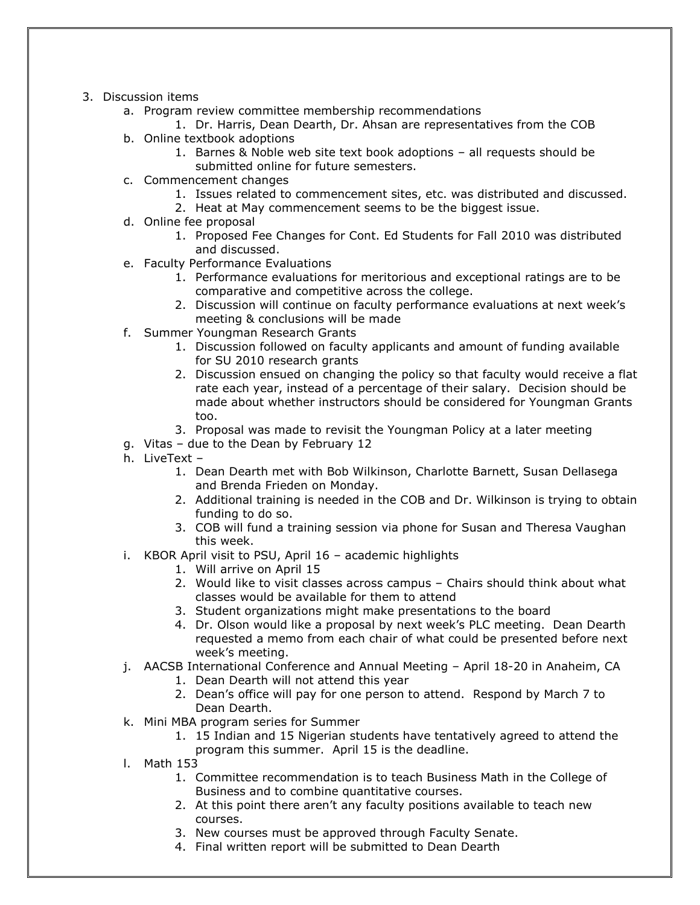- 3. Discussion items
	- a. Program review committee membership recommendations
		- 1. Dr. Harris, Dean Dearth, Dr. Ahsan are representatives from the COB
	- b. Online textbook adoptions
		- 1. Barnes & Noble web site text book adoptions all requests should be
		- submitted online for future semesters.
	- c. Commencement changes
		- 1. Issues related to commencement sites, etc. was distributed and discussed.
		- 2. Heat at May commencement seems to be the biggest issue.
	- d. Online fee proposal
		- 1. Proposed Fee Changes for Cont. Ed Students for Fall 2010 was distributed and discussed.
	- e. Faculty Performance Evaluations
		- 1. Performance evaluations for meritorious and exceptional ratings are to be comparative and competitive across the college.
		- 2. Discussion will continue on faculty performance evaluations at next week's meeting & conclusions will be made
	- f. Summer Youngman Research Grants
		- 1. Discussion followed on faculty applicants and amount of funding available for SU 2010 research grants
		- 2. Discussion ensued on changing the policy so that faculty would receive a flat rate each year, instead of a percentage of their salary. Decision should be made about whether instructors should be considered for Youngman Grants too.
		- 3. Proposal was made to revisit the Youngman Policy at a later meeting
	- g. Vitas due to the Dean by February 12
	- h. LiveText
		- 1. Dean Dearth met with Bob Wilkinson, Charlotte Barnett, Susan Dellasega and Brenda Frieden on Monday.
		- 2. Additional training is needed in the COB and Dr. Wilkinson is trying to obtain funding to do so.
		- 3. COB will fund a training session via phone for Susan and Theresa Vaughan this week.
	- i. KBOR April visit to PSU, April 16 academic highlights
		- 1. Will arrive on April 15
		- 2. Would like to visit classes across campus Chairs should think about what classes would be available for them to attend
		- 3. Student organizations might make presentations to the board
		- 4. Dr. Olson would like a proposal by next week's PLC meeting. Dean Dearth requested a memo from each chair of what could be presented before next week's meeting.
	- j. AACSB International Conference and Annual Meeting April 18-20 in Anaheim, CA
		- 1. Dean Dearth will not attend this year
		- 2. Dean's office will pay for one person to attend. Respond by March 7 to Dean Dearth.
	- k. Mini MBA program series for Summer
		- 1. 15 Indian and 15 Nigerian students have tentatively agreed to attend the program this summer. April 15 is the deadline.
	- l. Math 153
		- 1. Committee recommendation is to teach Business Math in the College of Business and to combine quantitative courses.
		- 2. At this point there aren't any faculty positions available to teach new courses.
		- 3. New courses must be approved through Faculty Senate.
		- 4. Final written report will be submitted to Dean Dearth